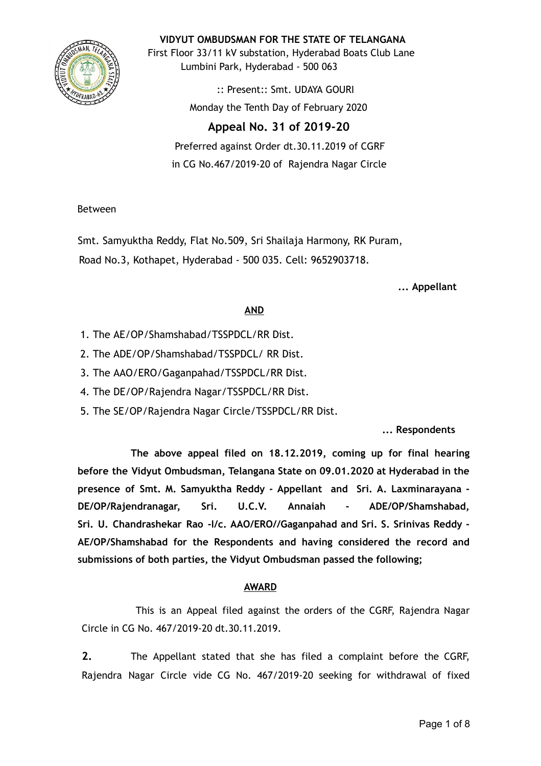

**VIDYUT OMBUDSMAN FOR THE STATE OF TELANGANA**

First Floor 33/11 kV substation, Hyderabad Boats Club Lane Lumbini Park, Hyderabad - 500 063

> :: Present:: Smt. UDAYA GOURI Monday the Tenth Day of February 2020

# **Appeal No. 31 of 2019-20**

Preferred against Order dt.30.11.2019 of CGRF in CG No.467/2019-20 of Rajendra Nagar Circle

## Between

Smt. Samyuktha Reddy, Flat No.509, Sri Shailaja Harmony, RK Puram, Road No.3, Kothapet, Hyderabad - 500 035. Cell: 9652903718.

**... Appellant**

## **AND**

- 1. The AE/OP/Shamshabad/TSSPDCL/RR Dist.
- 2. The ADE/OP/Shamshabad/TSSPDCL/ RR Dist.
- 3. The AAO/ERO/Gaganpahad/TSSPDCL/RR Dist.
- 4. The DE/OP/Rajendra Nagar/TSSPDCL/RR Dist.
- 5. The SE/OP/Rajendra Nagar Circle/TSSPDCL/RR Dist.

## **... Respondents**

**The above appeal filed on 18.12.2019, coming up for final hearing before the Vidyut Ombudsman, Telangana State on 09.01.2020 at Hyderabad in the presence of Smt. M. Samyuktha Reddy - Appellant and Sri. A. Laxminarayana - DE/OP/Rajendranagar, Sri. U.C.V. Annaiah - ADE/OP/Shamshabad, Sri. U. Chandrashekar Rao -I/c. AAO/ERO//Gaganpahad and Sri. S. Srinivas Reddy - AE/OP/Shamshabad for the Respondents and having considered the record and submissions of both parties, the Vidyut Ombudsman passed the following;**

## **AWARD**

This is an Appeal filed against the orders of the CGRF, Rajendra Nagar Circle in CG No. 467/2019-20 dt.30.11.2019.

**2.** The Appellant stated that she has filed a complaint before the CGRF, Rajendra Nagar Circle vide CG No. 467/2019-20 seeking for withdrawal of fixed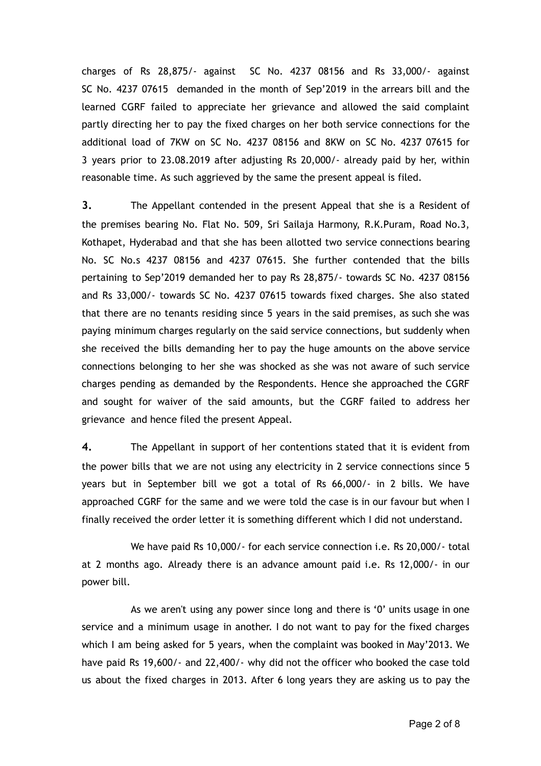charges of Rs 28,875/- against SC No. 4237 08156 and Rs 33,000/- against SC No. 4237 07615 demanded in the month of Sep'2019 in the arrears bill and the learned CGRF failed to appreciate her grievance and allowed the said complaint partly directing her to pay the fixed charges on her both service connections for the additional load of 7KW on SC No. 4237 08156 and 8KW on SC No. 4237 07615 for 3 years prior to 23.08.2019 after adjusting Rs 20,000/- already paid by her, within reasonable time. As such aggrieved by the same the present appeal is filed.

**3.** The Appellant contended in the present Appeal that she is a Resident of the premises bearing No. Flat No. 509, Sri Sailaja Harmony, R.K.Puram, Road No.3, Kothapet, Hyderabad and that she has been allotted two service connections bearing No. SC No.s 4237 08156 and 4237 07615. She further contended that the bills pertaining to Sep'2019 demanded her to pay Rs 28,875/- towards SC No. 4237 08156 and Rs 33,000/- towards SC No. 4237 07615 towards fixed charges. She also stated that there are no tenants residing since 5 years in the said premises, as such she was paying minimum charges regularly on the said service connections, but suddenly when she received the bills demanding her to pay the huge amounts on the above service connections belonging to her she was shocked as she was not aware of such service charges pending as demanded by the Respondents. Hence she approached the CGRF and sought for waiver of the said amounts, but the CGRF failed to address her grievance and hence filed the present Appeal.

**4.** The Appellant in support of her contentions stated that it is evident from the power bills that we are not using any electricity in 2 service connections since 5 years but in September bill we got a total of Rs 66,000/- in 2 bills. We have approached CGRF for the same and we were told the case is in our favour but when I finally received the order letter it is something different which I did not understand.

We have paid Rs 10,000/- for each service connection i.e. Rs 20,000/- total at 2 months ago. Already there is an advance amount paid i.e. Rs 12,000/- in our power bill.

As we aren't using any power since long and there is '0' units usage in one service and a minimum usage in another. I do not want to pay for the fixed charges which I am being asked for 5 years, when the complaint was booked in May'2013. We have paid Rs 19,600/- and 22,400/- why did not the officer who booked the case told us about the fixed charges in 2013. After 6 long years they are asking us to pay the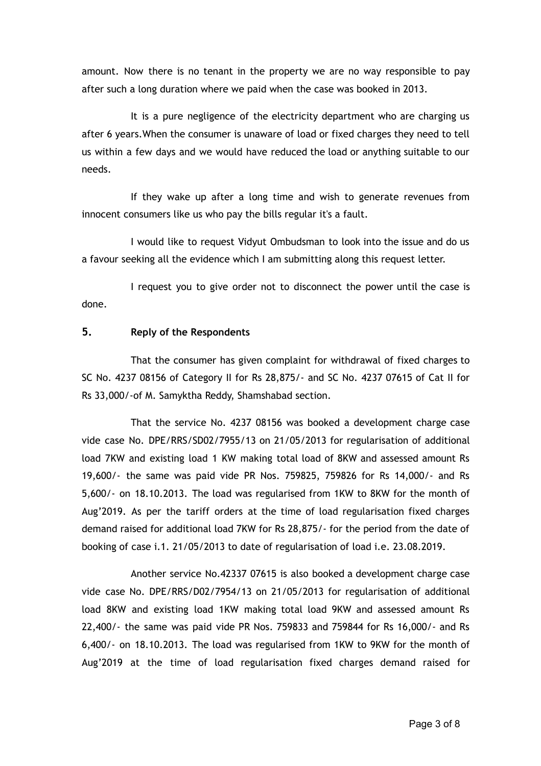amount. Now there is no tenant in the property we are no way responsible to pay after such a long duration where we paid when the case was booked in 2013.

It is a pure negligence of the electricity department who are charging us after 6 years.When the consumer is unaware of load or fixed charges they need to tell us within a few days and we would have reduced the load or anything suitable to our needs.

If they wake up after a long time and wish to generate revenues from innocent consumers like us who pay the bills regular it's a fault.

I would like to request Vidyut Ombudsman to look into the issue and do us a favour seeking all the evidence which I am submitting along this request letter.

I request you to give order not to disconnect the power until the case is done.

## **5. Reply of the Respondents**

That the consumer has given complaint for withdrawal of fixed charges to SC No. 4237 08156 of Category II for Rs 28,875/- and SC No. 4237 07615 of Cat II for Rs 33,000/-of M. Samyktha Reddy, Shamshabad section.

That the service No. 4237 08156 was booked a development charge case vide case No. DPE/RRS/SD02/7955/13 on 21/05/2013 for regularisation of additional load 7KW and existing load 1 KW making total load of 8KW and assessed amount Rs 19,600/- the same was paid vide PR Nos. 759825, 759826 for Rs 14,000/- and Rs 5,600/- on 18.10.2013. The load was regularised from 1KW to 8KW for the month of Aug'2019. As per the tariff orders at the time of load regularisation fixed charges demand raised for additional load 7KW for Rs 28,875/- for the period from the date of booking of case i.1. 21/05/2013 to date of regularisation of load i.e. 23.08.2019.

Another service No.42337 07615 is also booked a development charge case vide case No. DPE/RRS/D02/7954/13 on 21/05/2013 for regularisation of additional load 8KW and existing load 1KW making total load 9KW and assessed amount Rs 22,400/- the same was paid vide PR Nos. 759833 and 759844 for Rs 16,000/- and Rs 6,400/- on 18.10.2013. The load was regularised from 1KW to 9KW for the month of Aug'2019 at the time of load regularisation fixed charges demand raised for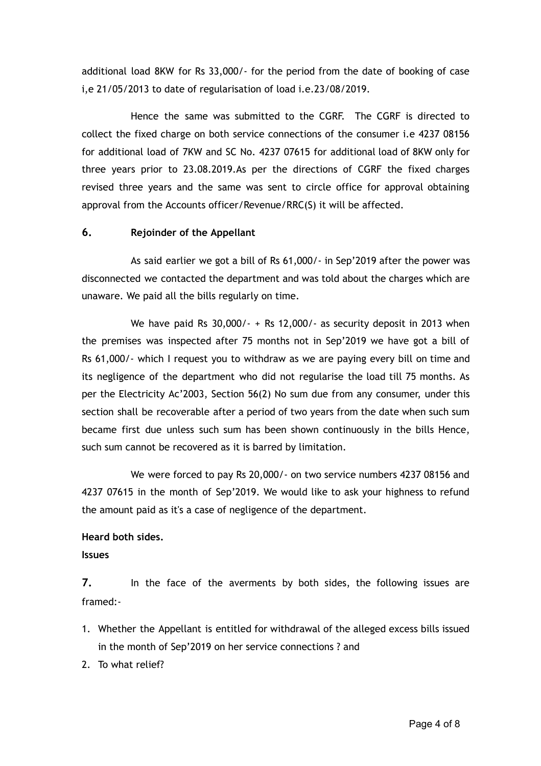additional load 8KW for Rs 33,000/- for the period from the date of booking of case i,e 21/05/2013 to date of regularisation of load i.e.23/08/2019.

Hence the same was submitted to the CGRF. The CGRF is directed to collect the fixed charge on both service connections of the consumer i.e 4237 08156 for additional load of 7KW and SC No. 4237 07615 for additional load of 8KW only for three years prior to 23.08.2019.As per the directions of CGRF the fixed charges revised three years and the same was sent to circle office for approval obtaining approval from the Accounts officer/Revenue/RRC(S) it will be affected.

### **6. Rejoinder of the Appellant**

As said earlier we got a bill of Rs 61,000/- in Sep'2019 after the power was disconnected we contacted the department and was told about the charges which are unaware. We paid all the bills regularly on time.

We have paid Rs 30,000/- + Rs 12,000/- as security deposit in 2013 when the premises was inspected after 75 months not in Sep'2019 we have got a bill of Rs 61,000/- which I request you to withdraw as we are paying every bill on time and its negligence of the department who did not regularise the load till 75 months. As per the Electricity Ac'2003, Section 56(2) No sum due from any consumer, under this section shall be recoverable after a period of two years from the date when such sum became first due unless such sum has been shown continuously in the bills Hence, such sum cannot be recovered as it is barred by limitation.

We were forced to pay Rs 20,000/- on two service numbers 4237 08156 and 4237 07615 in the month of Sep'2019. We would like to ask your highness to refund the amount paid as it's a case of negligence of the department.

### **Heard both sides.**

### **Issues**

**7.** In the face of the averments by both sides, the following issues are framed:-

- 1. Whether the Appellant is entitled for withdrawal of the alleged excess bills issued in the month of Sep'2019 on her service connections ? and
- 2. To what relief?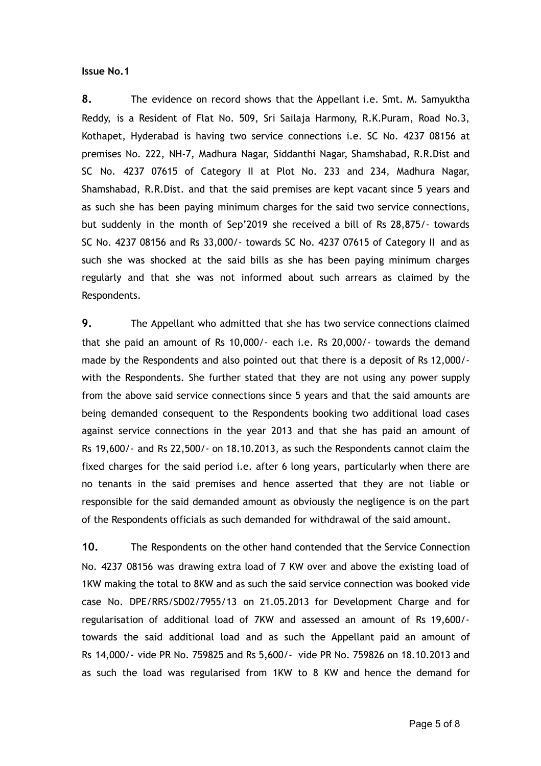#### **Issue No.1**

**8.** The evidence on record shows that the Appellant i.e. Smt. M. Samyuktha Reddy, is a Resident of Flat No. 509, Sri Sailaja Harmony, R.K.Puram, Road No.3, Kothapet, Hyderabad is having two service connections i.e. SC No. 4237 08156 at premises No. 222, NH-7, Madhura Nagar, Siddanthi Nagar, Shamshabad, R.R.Dist and SC No. 4237 07615 of Category II at Plot No. 233 and 234, Madhura Nagar, Shamshabad, R.R.Dist. and that the said premises are kept vacant since 5 years and as such she has been paying minimum charges for the said two service connections, but suddenly in the month of Sep'2019 she received a bill of Rs 28,875/- towards SC No. 4237 08156 and Rs 33,000/- towards SC No. 4237 07615 of Category II and as such she was shocked at the said bills as she has been paying minimum charges regularly and that she was not informed about such arrears as claimed by the Respondents.

**9.** The Appellant who admitted that she has two service connections claimed that she paid an amount of Rs 10,000/- each i.e. Rs 20,000/- towards the demand made by the Respondents and also pointed out that there is a deposit of Rs 12,000/ with the Respondents. She further stated that they are not using any power supply from the above said service connections since 5 years and that the said amounts are being demanded consequent to the Respondents booking two additional load cases against service connections in the year 2013 and that she has paid an amount of Rs 19,600/- and Rs 22,500/- on 18.10.2013, as such the Respondents cannot claim the fixed charges for the said period i.e. after 6 long years, particularly when there are no tenants in the said premises and hence asserted that they are not liable or responsible for the said demanded amount as obviously the negligence is on the part of the Respondents officials as such demanded for withdrawal of the said amount.

**10.** The Respondents on the other hand contended that the Service Connection No. 4237 08156 was drawing extra load of 7 KW over and above the existing load of 1KW making the total to 8KW and as such the said service connection was booked vide case No. DPE/RRS/SD02/7955/13 on 21.05.2013 for Development Charge and for regularisation of additional load of 7KW and assessed an amount of Rs 19,600/ towards the said additional load and as such the Appellant paid an amount of Rs 14,000/- vide PR No. 759825 and Rs 5,600/- vide PR No. 759826 on 18.10.2013 and as such the load was regularised from 1KW to 8 KW and hence the demand for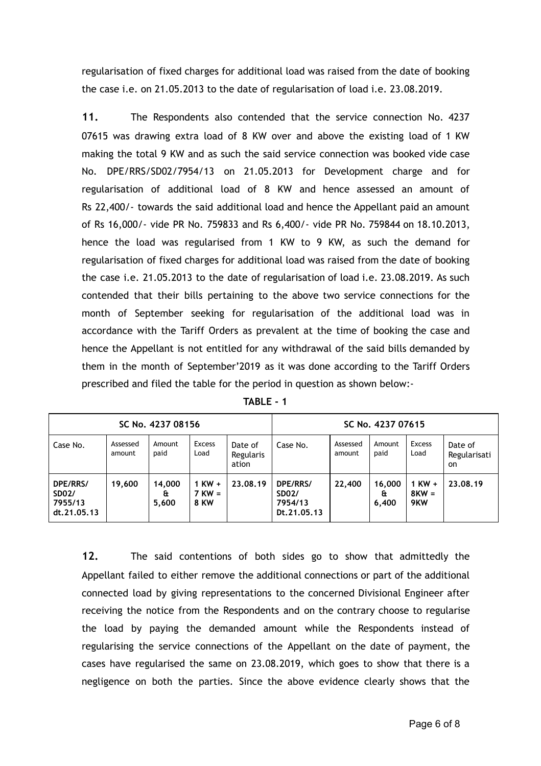regularisation of fixed charges for additional load was raised from the date of booking the case i.e. on 21.05.2013 to the date of regularisation of load i.e. 23.08.2019.

**11.** The Respondents also contended that the service connection No. 4237 07615 was drawing extra load of 8 KW over and above the existing load of 1 KW making the total 9 KW and as such the said service connection was booked vide case No. DPE/RRS/SD02/7954/13 on 21.05.2013 for Development charge and for regularisation of additional load of 8 KW and hence assessed an amount of Rs 22,400/- towards the said additional load and hence the Appellant paid an amount of Rs 16,000/- vide PR No. 759833 and Rs 6,400/- vide PR No. 759844 on 18.10.2013, hence the load was regularised from 1 KW to 9 KW, as such the demand for regularisation of fixed charges for additional load was raised from the date of booking the case i.e. 21.05.2013 to the date of regularisation of load i.e. 23.08.2019. As such contended that their bills pertaining to the above two service connections for the month of September seeking for regularisation of the additional load was in accordance with the Tariff Orders as prevalent at the time of booking the case and hence the Appellant is not entitled for any withdrawal of the said bills demanded by them in the month of September'2019 as it was done according to the Tariff Orders prescribed and filed the table for the period in question as shown below:-

| SC No. 4237 08156                                  |                    |                       |                                       |                               | SC No. 4237 07615                                  |                    |                      |                              |                                          |
|----------------------------------------------------|--------------------|-----------------------|---------------------------------------|-------------------------------|----------------------------------------------------|--------------------|----------------------|------------------------------|------------------------------------------|
| Case No.                                           | Assessed<br>amount | Amount<br>paid        | <b>Excess</b><br>Load                 | Date of<br>Regularis<br>ation | Case No.                                           | Assessed<br>amount | Amount<br>paid       | <b>Excess</b><br>Load        | Date of<br>Regularisati<br><sub>on</sub> |
| DPE/RRS/<br><b>SD02/</b><br>7955/13<br>dt.21.05.13 | 19,600             | 14.000<br>£t<br>5,600 | $1$ KW $+$<br>$7$ KW =<br><b>8 KW</b> | 23.08.19                      | DPE/RRS/<br><b>SD02/</b><br>7954/13<br>Dt.21.05.13 | 22,400             | 16,000<br>£<br>6,400 | $1$ KW $+$<br>$8KW =$<br>9KW | 23.08.19                                 |

**TABLE - 1** 

**12.** The said contentions of both sides go to show that admittedly the Appellant failed to either remove the additional connections or part of the additional connected load by giving representations to the concerned Divisional Engineer after receiving the notice from the Respondents and on the contrary choose to regularise the load by paying the demanded amount while the Respondents instead of regularising the service connections of the Appellant on the date of payment, the cases have regularised the same on 23.08.2019, which goes to show that there is a negligence on both the parties. Since the above evidence clearly shows that the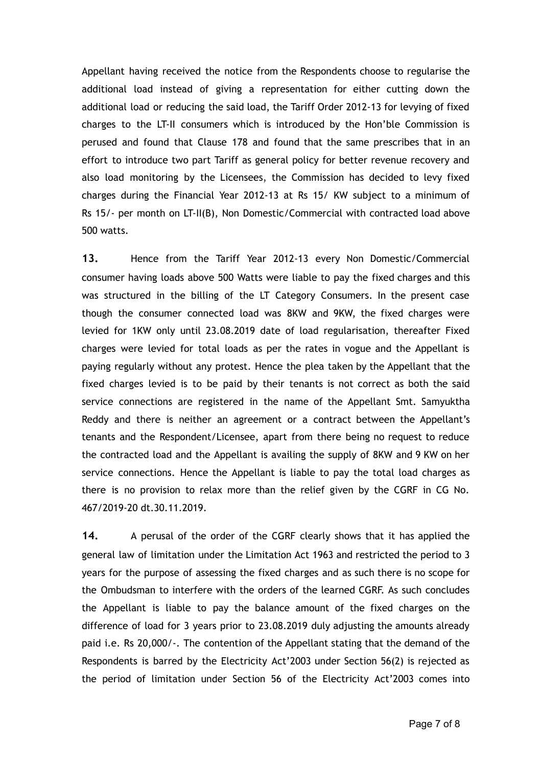Appellant having received the notice from the Respondents choose to regularise the additional load instead of giving a representation for either cutting down the additional load or reducing the said load, the Tariff Order 2012-13 for levying of fixed charges to the LT-II consumers which is introduced by the Hon'ble Commission is perused and found that Clause 178 and found that the same prescribes that in an effort to introduce two part Tariff as general policy for better revenue recovery and also load monitoring by the Licensees, the Commission has decided to levy fixed charges during the Financial Year 2012-13 at Rs 15/ KW subject to a minimum of Rs 15/- per month on LT-II(B), Non Domestic/Commercial with contracted load above 500 watts.

**13.** Hence from the Tariff Year 2012-13 every Non Domestic/Commercial consumer having loads above 500 Watts were liable to pay the fixed charges and this was structured in the billing of the LT Category Consumers. In the present case though the consumer connected load was 8KW and 9KW, the fixed charges were levied for 1KW only until 23.08.2019 date of load regularisation, thereafter Fixed charges were levied for total loads as per the rates in vogue and the Appellant is paying regularly without any protest. Hence the plea taken by the Appellant that the fixed charges levied is to be paid by their tenants is not correct as both the said service connections are registered in the name of the Appellant Smt. Samyuktha Reddy and there is neither an agreement or a contract between the Appellant's tenants and the Respondent/Licensee, apart from there being no request to reduce the contracted load and the Appellant is availing the supply of 8KW and 9 KW on her service connections. Hence the Appellant is liable to pay the total load charges as there is no provision to relax more than the relief given by the CGRF in CG No. 467/2019-20 dt.30.11.2019.

**14.** A perusal of the order of the CGRF clearly shows that it has applied the general law of limitation under the Limitation Act 1963 and restricted the period to 3 years for the purpose of assessing the fixed charges and as such there is no scope for the Ombudsman to interfere with the orders of the learned CGRF. As such concludes the Appellant is liable to pay the balance amount of the fixed charges on the difference of load for 3 years prior to 23.08.2019 duly adjusting the amounts already paid i.e. Rs 20,000/-. The contention of the Appellant stating that the demand of the Respondents is barred by the Electricity Act'2003 under Section 56(2) is rejected as the period of limitation under Section 56 of the Electricity Act'2003 comes into